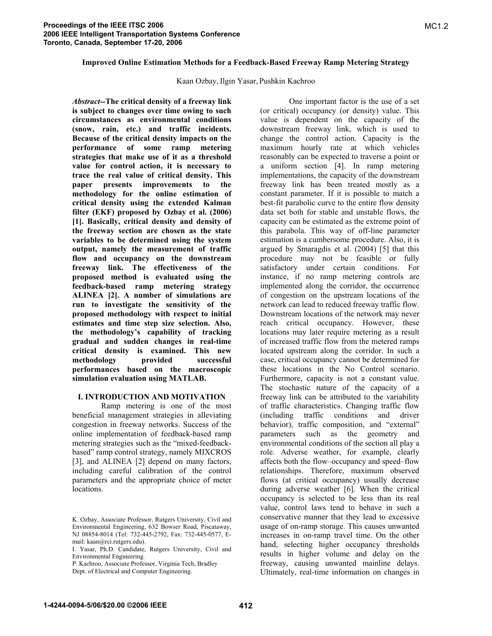## **Improved Online Estimation Methods for a Feedback-Based Freeway Ramp Metering Strategy**

Kaan Ozbay, Ilgin Yasar, Pushkin Kachroo

*Abstract--***The critical density of a freeway link is subject to changes over time owing to such circumstances as environmental conditions (snow, rain, etc.) and traffic incidents. Because of the critical density impacts on the performance of some ramp metering strategies that make use of it as a threshold value for control action, it is necessary to trace the real value of critical density. This paper presents improvements to the methodology for the online estimation of critical density using the extended Kalman filter (EKF) proposed by Ozbay et al. (2006) [1]. Basically, critical density and density of the freeway section are chosen as the state variables to be determined using the system output, namely the measurement of traffic flow and occupancy on the downstream freeway link. The effectiveness of the proposed method is evaluated using the feedback-based ramp metering strategy ALINEA [2]. A number of simulations are run to investigate the sensitivity of the proposed methodology with respect to initial estimates and time step size selection. Also, the methodology's capability of tracking gradual and sudden changes in real-time critical density is examined. This new methodology provided successful performances based on the macroscopic simulation evaluation using MATLAB.** 

## **I. INTRODUCTION AND MOTIVATION**

Ramp metering is one of the most beneficial management strategies in alleviating congestion in freeway networks. Success of the online implementation of feedback-based ramp metering strategies such as the "mixed-feedbackbased" ramp control strategy, namely MIXCROS [3], and ALINEA [2] depend on many factors, including careful calibration of the control parameters and the appropriate choice of meter locations.

I. Yasar, Ph.D. Candidate, Rutgers University, Civil and Environmental Engineering.

P. Kachroo, Associate Professor, Virginia Tech, Bradley Dept. of Electrical and Computer Engineering.

One important factor is the use of a set (or critical) occupancy (or density) value. This value is dependent on the capacity of the downstream freeway link, which is used to change the control action. Capacity is the maximum hourly rate at which vehicles reasonably can be expected to traverse a point or a uniform section [4]. In ramp metering implementations, the capacity of the downstream freeway link has been treated mostly as a constant parameter. If it is possible to match a best-fit parabolic curve to the entire flow density data set both for stable and unstable flows, the capacity can be estimated as the extreme point of this parabola. This way of off-line parameter estimation is a cumbersome procedure. Also, it is argued by Smaragdis et al. (2004) [5] that this procedure may not be feasible or fully satisfactory under certain conditions. For instance, if no ramp metering controls are implemented along the corridor, the occurrence of congestion on the upstream locations of the network can lead to reduced freeway traffic flow. Downstream locations of the network may never reach critical occupancy. However, these locations may later require metering as a result of increased traffic flow from the metered ramps located upstream along the corridor. In such a case, critical occupancy cannot be determined for these locations in the No Control scenario. Furthermore, capacity is not a constant value. The stochastic nature of the capacity of a freeway link can be attributed to the variability of traffic characteristics. Changing traffic flow (including traffic conditions and driver behavior), traffic composition, and "external" parameters such as the geometry and environmental conditions of the section all play a role. Adverse weather, for example, clearly affects both the flow–occupancy and speed–flow relationships. Therefore, maximum observed flows (at critical occupancy) usually decrease during adverse weather [6]. When the critical occupancy is selected to be less than its real value, control laws tend to behave in such a conservative manner that they lead to excessive usage of on-ramp storage. This causes unwanted increases in on-ramp travel time. On the other hand, selecting higher occupancy thresholds results in higher volume and delay on the freeway, causing unwanted mainline delays. Ultimately, real-time information on changes in

K. Ozbay, Associate Professor, Rutgers University, Civil and Environmental Engineering, 632 Bowser Road, Piscataway, NJ 08854-8014 (Tel: 732-445-2792, Fax: 732-445-0577, Email: kaan@rci.rutgers.edu).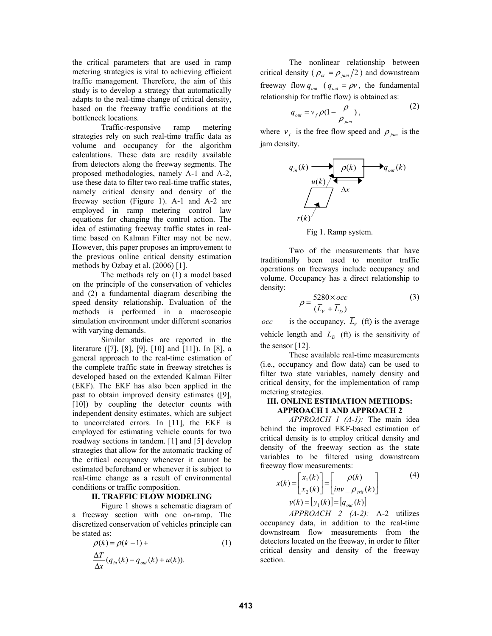the critical parameters that are used in ramp metering strategies is vital to achieving efficient traffic management. Therefore, the aim of this study is to develop a strategy that automatically adapts to the real-time change of critical density, based on the freeway traffic conditions at the bottleneck locations.

Traffic-responsive ramp metering strategies rely on such real-time traffic data as volume and occupancy for the algorithm calculations. These data are readily available from detectors along the freeway segments. The proposed methodologies, namely A-1 and A-2, use these data to filter two real-time traffic states, namely critical density and density of the freeway section (Figure 1). A-1 and A-2 are employed in ramp metering control law equations for changing the control action. The idea of estimating freeway traffic states in realtime based on Kalman Filter may not be new. However, this paper proposes an improvement to the previous online critical density estimation methods by Ozbay et al. (2006) [1].

The methods rely on (1) a model based on the principle of the conservation of vehicles and (2) a fundamental diagram describing the speed–density relationship. Evaluation of the methods is performed in a macroscopic simulation environment under different scenarios with varying demands.

Similar studies are reported in the literature ([7], [8], [9], [10] and [11]). In [8], a general approach to the real-time estimation of the complete traffic state in freeway stretches is developed based on the extended Kalman Filter (EKF). The EKF has also been applied in the past to obtain improved density estimates ([9], [10]) by coupling the detector counts with independent density estimates, which are subject to uncorrelated errors. In [11], the EKF is employed for estimating vehicle counts for two roadway sections in tandem. [1] and [5] develop strategies that allow for the automatic tracking of the critical occupancy whenever it cannot be estimated beforehand or whenever it is subject to real-time change as a result of environmental conditions or traffic composition.

## **II. TRAFFIC FLOW MODELING**

Figure 1 shows a schematic diagram of a freeway section with one on-ramp. The discretized conservation of vehicles principle can be stated as:

$$
\rho(k) = \rho(k-1) + \qquad (1)
$$
  

$$
\frac{\Delta T}{\Delta x} (q_{in}(k) - q_{out}(k) + u(k)).
$$

The nonlinear relationship between critical density ( $\rho_{cr} = \rho_{jam}/2$ ) and downstream freeway flow  $q_{out}$  ( $q_{out} = \rho v$ , the fundamental relationship for traffic flow) is obtained as:

$$
q_{out} = v_f \rho (1 - \frac{\rho}{\rho_{jam}}),
$$
 (2)

where  $v_f$  is the free flow speed and  $\rho_{\text{jam}}$  is the jam density.



## Fig 1. Ramp system.

Two of the measurements that have traditionally been used to monitor traffic operations on freeways include occupancy and volume. Occupancy has a direct relationship to density:

$$
\rho = \frac{5280 \times occ}{(\overline{L}_V + \overline{L}_D)}
$$
(3)

*occ* is the occupancy,  $\overline{L}_V$  (ft) is the average vehicle length and  $\overline{L}_D$  (ft) is the sensitivity of the sensor [12].

 These available real-time measurements (i.e., occupancy and flow data) can be used to filter two state variables, namely density and critical density, for the implementation of ramp metering strategies.

## **III. ONLINE ESTIMATION METHODS: APPROACH 1 AND APPROACH 2**

*APPROACH 1 (A-1):* The main idea behind the improved EKF-based estimation of critical density is to employ critical density and density of the freeway section as the state variables to be filtered using downstream freeway flow measurements:

$$
x(k) = \begin{bmatrix} x_1(k) \\ x_2(k) \end{bmatrix} = \begin{bmatrix} \rho(k) \\ inv \rho_{crit}(k) \end{bmatrix}
$$
 (4)  

$$
y(k) = \begin{bmatrix} y_1(k) \end{bmatrix} = \begin{bmatrix} q_{out}(k) \end{bmatrix}
$$

*APPROACH 2 (A-2):* A-2 utilizes occupancy data, in addition to the real-time downstream flow measurements from the detectors located on the freeway, in order to filter critical density and density of the freeway section.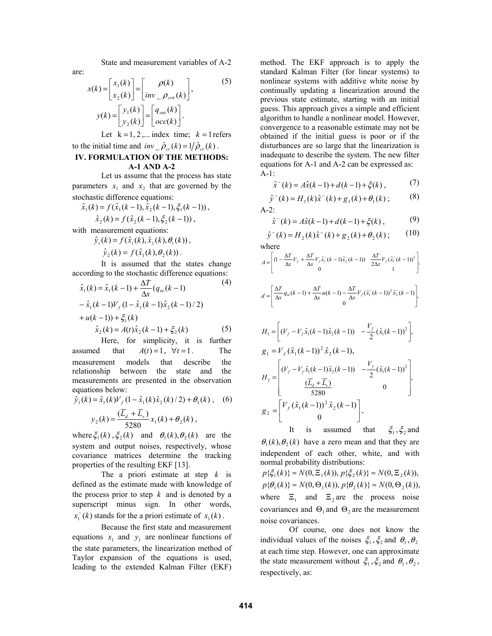State and measurement variables of A-2

are:

$$
x(k) = \begin{bmatrix} x_1(k) \\ x_2(k) \end{bmatrix} = \begin{bmatrix} \rho(k) \\ inv_{\rho_{crit}}(k) \end{bmatrix},
$$
  
\n
$$
y(k) = \begin{bmatrix} y_1(k) \\ y_2(k) \end{bmatrix} = \begin{bmatrix} q_{out}(k) \\ occ(k) \end{bmatrix}.
$$
 (5)

Let  $k = 1, 2, \dots$  index time;  $k = 1$  refers to the initial time and  $inv_{\alpha} \hat{\rho}_{cr}(k) = 1/\hat{\rho}_{cr}(k)$ .

## **IV. FORMULATION OF THE METHODS: A-1 AND A-2**

Let us assume that the process has state parameters  $x_1$  and  $x_2$  that are governed by the stochastic difference equations:

$$
\hat{x}_1(k) = f(\hat{x}_1(k-1), \hat{x}_2(k-1), \xi_1(k-1)),
$$

$$
\hat{x}_2(k) = f(\hat{x}_2(k-1), \xi_2(k-1)),
$$

with measurement equations:

$$
\hat{y}_1(k) = f(\hat{x}_1(k), \hat{x}_2(k), \theta_1(k)),
$$

$$
\hat{y}_2(k) = f(\hat{x}_1(k), \theta_2(k)).
$$

It is assumed that the states change according to the stochastic difference equations:

$$
\hat{x}_1(k) = \hat{x}_1(k-1) + \frac{\Delta T}{\Delta x}(q_{in}(k-1))
$$
\n
$$
- \hat{x}_1(k-1)V_f(1-\hat{x}_1(k-1)\hat{x}_2(k-1)/2)
$$
\n
$$
+ u(k-1)) + \xi_1(k)
$$
\n
$$
\hat{x}_2(k) = A(t)\hat{x}_2(k-1) + \xi_2(k)
$$
\n(5)

Here, for simplicity, it is further assumed that  $A(t)=1$ ,  $\forall t=1$ . The measurement models that describe the relationship between the state and the measurements are presented in the observation equations below:

$$
\hat{y}_1(k) = \hat{x}_1(k)V_f(1 - \hat{x}_1(k)\hat{x}_2(k)/2) + \theta_1(k),
$$
 (6)  

$$
y_2(k) = \frac{(\overline{L}_d + \overline{L}_v)}{5280}x_1(k) + \theta_2(k),
$$

where  $\xi_1(k)$ ,  $\xi_2(k)$  and  $\theta_1(k), \theta_2(k)$  are the system and output noises, respectively, whose covariance matrices determine the tracking properties of the resulting EKF [13].

The a priori estimate at step *k* is defined as the estimate made with knowledge of the process prior to step  $k$  and is denoted by a superscript minus sign. In other words,  $x_1^-(k)$  stands for the a priori estimate of  $x_1(k)$ .

Because the first state and measurement equations  $x_1$  and  $y_1$  are nonlinear functions of the state parameters, the linearization method of Taylor expansion of the equations is used, leading to the extended Kalman Filter (EKF)

method. The EKF approach is to apply the standard Kalman Filter (for linear systems) to nonlinear systems with additive white noise by continually updating a linearization around the previous state estimate, starting with an initial guess. This approach gives a simple and efficient algorithm to handle a nonlinear model. However, convergence to a reasonable estimate may not be obtained if the initial guess is poor or if the disturbances are so large that the linearization is inadequate to describe the system. The new filter equations for A-1 and A-2 can be expressed as: A-1:

$$
\hat{x}^-(k) = A\hat{x}(k-1) + d(k-1) + \xi(k) , \qquad (7)
$$

$$
\hat{y}^-(k) = H_1(k)\hat{x}^-(k) + g_1(k) + \theta_1(k) ; \qquad (8)
$$
  
A-2:

$$
\hat{x}^-(k) = A\hat{x}(k-1) + d(k-1) + \xi(k), \qquad (9)
$$

$$
\hat{y}^-(k) = H_2(k)\hat{x}^-(k) + g_2(k) + \theta_2(k) ; \qquad (10)
$$

where

$$
A = \left[ \begin{array}{ccc} (1 - \frac{\Delta T}{\Delta x} V_{f} + \frac{\Delta T}{\Delta x} V_{f} \hat{x}_{1}^{-}(k-1) \hat{x}_{2}^{-}(k-1)) & \frac{\Delta T}{2\Delta x} V_{f} (\hat{x}_{1}^{-}(k-1))^{2} \\ 0 & 1 \end{array} \right],
$$

$$
d = \left[ \frac{\Delta T}{\Delta x} q_{in}(k-1) + \frac{\Delta T}{\Delta x} u(k-1) - \frac{\Delta T}{\Delta x} V_f (\hat{x}_1^-(k-1))^2 \hat{x}_2^-(k-1) \right],
$$

$$
H_1 = \left[ (V_f - V_f \hat{x}_1(k-1)\hat{x}_2(k-1)) - \frac{V_f}{2} (\hat{x}_1(k-1))^2 \right],
$$
  
\n
$$
g_1 = V_f (\hat{x}_1(k-1))^2 \hat{x}_2(k-1),
$$
  
\n
$$
H_2 = \begin{bmatrix} (V_f - V_f \hat{x}_1(k-1)\hat{x}_2(k-1)) & -\frac{V_f}{2} (\hat{x}_1(k-1))^2 \\ \frac{(\overline{L}_d + \overline{L}_v)}{5280} & 0 \end{bmatrix},
$$
  
\n
$$
g_2 = \begin{bmatrix} V_f (\hat{x}_1(k-1))^2 \hat{x}_2(k-1) \\ 0 \end{bmatrix}.
$$

It is assumed that  $\xi_1, \xi_2$  and  $\theta_1(k), \theta_2(k)$  have a zero mean and that they are independent of each other, white, and with normal probability distributions:

 $p\{\theta_1(k)\}\approx N(0,\Theta_1(k)), p\{\theta_2(k)\}\approx N(0,\Theta_2(k)),$  $p\{\xi_1(k)\}\approx N(0,\Xi_1(k)), p\{\xi_2(k)\}\approx N(0,\Xi_2(k)),$ where  $\Xi_1$  and  $\Xi_2$  are the process noise covariances and  $\Theta_1$  and  $\Theta_2$  are the measurement noise covariances.

Of course, one does not know the individual values of the noises  $\xi_1, \xi_2$  and  $\theta_1, \theta_2$ at each time step. However, one can approximate the state measurement without  $\xi_1, \xi_2$  and  $\theta_1, \theta_2$ , respectively, as: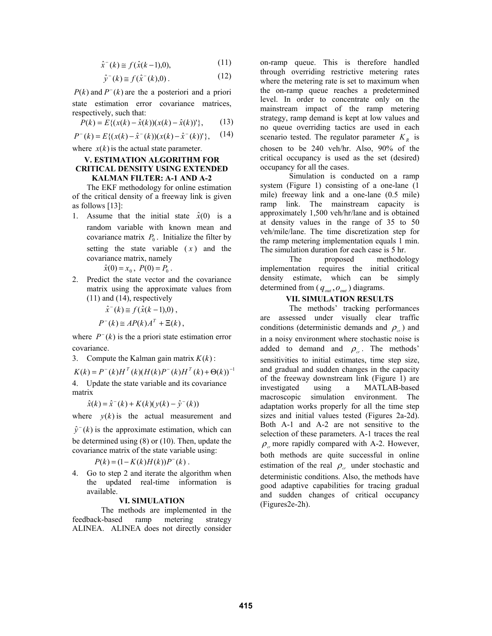$\hat{x}^-(k) \approx f(\hat{x}(k-1),0),$  (11)

$$
\hat{y}^-(k) \cong f(\hat{x}^-(k), 0) \,. \tag{12}
$$

 $P(k)$  and  $P^{-}(k)$  are the a posteriori and a priori state estimation error covariance matrices, respectively, such that:

$$
P(k) = E\{(x(k) - \hat{x}(k))(x(k) - \hat{x}(k))'\},\qquad(13)
$$

$$
P^{-}(k) = E\{(x(k) - \hat{x}^{-}(k))(x(k) - \hat{x}^{-}(k))'\}, \quad (14)
$$

where  $x(k)$  is the actual state parameter.

### **V. ESTIMATION ALGORITHM FOR CRITICAL DENSITY USING EXTENDED KALMAN FILTER: A-1 AND A-2**

The EKF methodology for online estimation of the critical density of a freeway link is given as follows [13]:

1. Assume that the initial state  $\hat{x}(0)$  is a random variable with known mean and covariance matrix  $P_0$ . Initialize the filter by setting the state variable  $(x)$  and the covariance matrix, namely

 $\hat{x}(0) = x_0$ ,  $P(0) = P_0$ .

2. Predict the state vector and the covariance matrix using the approximate values from (11) and (14), respectively

$$
\hat{x}^-(k) \equiv f(\hat{x}(k-1),0)
$$
,

$$
P^-(k) \cong AP(k)A^T + \Xi(k),
$$

where  $P^{-}(k)$  is the a priori state estimation error covariance.

3. Compute the Kalman gain matrix  $K(k)$ :

 $K(k) = P^{T}(k)H^{T}(k)(H(k)P^{T}(k)H^{T}(k) + \Theta(k))^{-1}$ 

4. Update the state variable and its covariance matrix

 $\hat{x}(k) = \hat{x}^{-}(k) + K(k)(y(k) - \hat{y}^{-}(k))$ 

where  $y(k)$  is the actual measurement and

 $\hat{y}^-(k)$  is the approximate estimation, which can be determined using (8) or (10). Then, update the covariance matrix of the state variable using:

 $P(k) = (1 - K(k)H(k))P^{-}(k)$ .

4. Go to step 2 and iterate the algorithm when the updated real-time information is available.

#### **VI. SIMULATION**

The methods are implemented in the feedback-based ramp metering strategy ALINEA. ALINEA does not directly consider on-ramp queue. This is therefore handled through overriding restrictive metering rates where the metering rate is set to maximum when the on-ramp queue reaches a predetermined level. In order to concentrate only on the mainstream impact of the ramp metering strategy, ramp demand is kept at low values and no queue overriding tactics are used in each scenario tested. The regulator parameter  $K<sub>R</sub>$  is chosen to be 240 veh/hr. Also, 90% of the critical occupancy is used as the set (desired) occupancy for all the cases.

Simulation is conducted on a ramp system (Figure 1) consisting of a one-lane (1 mile) freeway link and a one-lane (0.5 mile) ramp link. The mainstream capacity is approximately 1,500 veh/hr/lane and is obtained at density values in the range of 35 to 50 veh/mile/lane. The time discretization step for the ramp metering implementation equals 1 min. The simulation duration for each case is 5 hr.

The proposed methodology implementation requires the initial critical density estimate, which can be simply determined from  $(q_{out}, o_{out})$  diagrams.

# **VII. SIMULATION RESULTS**

The methods' tracking performances are assessed under visually clear traffic conditions (deterministic demands and  $\rho_r$ ) and in a noisy environment where stochastic noise is added to demand and  $\rho_{cr}$ . The methods' sensitivities to initial estimates, time step size, and gradual and sudden changes in the capacity of the freeway downstream link (Figure 1) are investigated using a MATLAB-based macroscopic simulation environment. The adaptation works properly for all the time step sizes and initial values tested (Figures 2a-2d). Both A-1 and A-2 are not sensitive to the selection of these parameters. A-1 traces the real  $\rho_r$  more rapidly compared with A-2. However, both methods are quite successful in online estimation of the real  $\rho_{cr}$  under stochastic and deterministic conditions. Also, the methods have good adaptive capabilities for tracing gradual and sudden changes of critical occupancy (Figures2e-2h).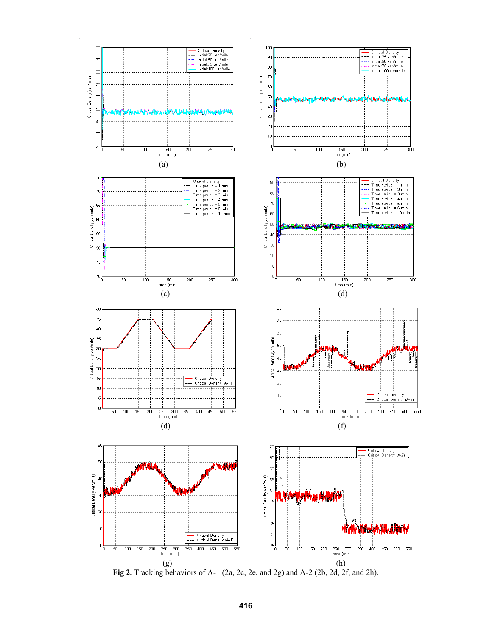